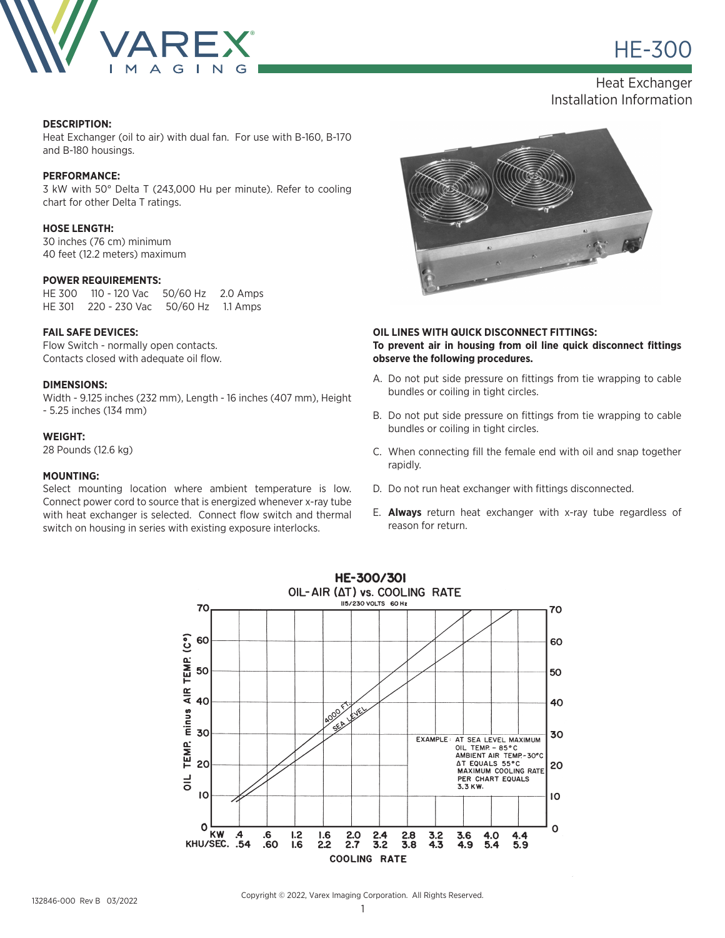

**HE-300** 

Heat Exchanger Installation Information

#### **DESCRIPTION:**

Heat Exchanger (oil to air) with dual fan. For use with B-160, B-170 and B-180 housings.

# **PERFORMANCE:**

3 kW with 50° Delta T (243,000 Hu per minute). Refer to cooling chart for other Delta T ratings.

#### **HOSE LENGTH:**

30 inches (76 cm) minimum 40 feet (12.2 meters) maximum

## **POWER REQUIREMENTS:**

HE 300 110 - 120 Vac 50/60 Hz 2.0 Amps HE 301 220 - 230 Vac 50/60 Hz 1.1 Amps

#### **FAIL SAFE DEVICES:**

Flow Switch - normally open contacts. Contacts closed with adequate oil flow.

#### **DIMENSIONS:**

Width - 9.125 inches (232 mm), Length - 16 inches (407 mm), Height - 5.25 inches (134 mm)

#### **WEIGHT:**

28 Pounds (12.6 kg)

#### **MOUNTING:**

Select mounting location where ambient temperature is low. Connect power cord to source that is energized whenever x-ray tube with heat exchanger is selected. Connect flow switch and thermal switch on housing in series with existing exposure interlocks.



## **OIL LINES WITH QUICK DISCONNECT FITTINGS: To prevent air in housing from oil line quick disconnect fittings observe the following procedures.**

- A. Do not put side pressure on fittings from tie wrapping to cable bundles or coiling in tight circles.
- B. Do not put side pressure on fittings from tie wrapping to cable bundles or coiling in tight circles.
- C. When connecting fill the female end with oil and snap together rapidly.
- D. Do not run heat exchanger with fittings disconnected.
- E. **Always** return heat exchanger with x-ray tube regardless of reason for return.



Copyright © 2022, Varex Imaging Corporation. All Rights Reserved.